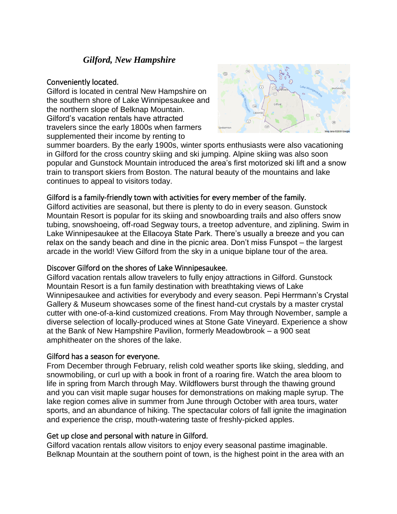# *Gilford, New Hampshire*

### Conveniently located.

Gilford is located in central New Hampshire on the southern shore of Lake Winnipesaukee and the northern slope of Belknap Mountain. Gilford's vacation rentals have attracted travelers since the early 1800s when farmers supplemented their income by renting to



summer boarders. By the early 1900s, winter sports enthusiasts were also vacationing in Gilford for the cross country skiing and ski jumping. Alpine skiing was also soon popular and Gunstock Mountain introduced the area's first motorized ski lift and a snow train to transport skiers from Boston. The natural beauty of the mountains and lake continues to appeal to visitors today.

### Gilford is a family-friendly town with activities for every member of the family.

Gilford activities are seasonal, but there is plenty to do in every season. Gunstock Mountain Resort is popular for its skiing and snowboarding trails and also offers snow tubing, snowshoeing, off-road Segway tours, a treetop adventure, and ziplining. Swim in Lake Winnipesaukee at the Ellacoya State Park. There's usually a breeze and you can relax on the sandy beach and dine in the picnic area. Don't miss Funspot – the largest arcade in the world! View Gilford from the sky in a unique biplane tour of the area.

# Discover Gilford on the shores of Lake Winnipesaukee.

Gilford vacation rentals allow travelers to fully enjoy attractions in Gilford. Gunstock Mountain Resort is a fun family destination with breathtaking views of Lake Winnipesaukee and activities for everybody and every season. Pepi Herrmann's Crystal Gallery & Museum showcases some of the finest hand-cut crystals by a master crystal cutter with one-of-a-kind customized creations. From May through November, sample a diverse selection of locally-produced wines at Stone Gate Vineyard. Experience a show at the Bank of New Hampshire Pavilion, formerly Meadowbrook – a 900 seat amphitheater on the shores of the lake.

# Gilford has a season for everyone.

From December through February, relish cold weather sports like skiing, sledding, and snowmobiling, or curl up with a book in front of a roaring fire. Watch the area bloom to life in spring from March through May. Wildflowers burst through the thawing ground and you can visit maple sugar houses for demonstrations on making maple syrup. The lake region comes alive in summer from June through October with area tours, water sports, and an abundance of hiking. The spectacular colors of fall ignite the imagination and experience the crisp, mouth-watering taste of freshly-picked apples.

# Get up close and personal with nature in Gilford.

Gilford vacation rentals allow visitors to enjoy every seasonal pastime imaginable. Belknap Mountain at the southern point of town, is the highest point in the area with an